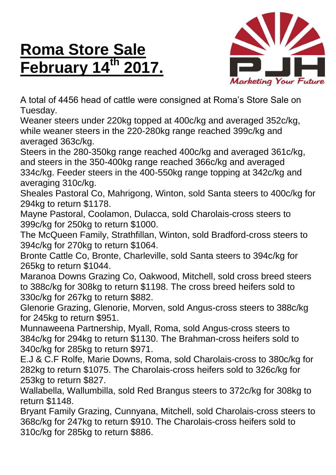## **Roma Store Sale February 14th 2017.**



A total of 4456 head of cattle were consigned at Roma's Store Sale on Tuesday.

Weaner steers under 220kg topped at 400c/kg and averaged 352c/kg, while weaner steers in the 220-280kg range reached 399c/kg and averaged 363c/kg.

Steers in the 280-350kg range reached 400c/kg and averaged 361c/kg, and steers in the 350-400kg range reached 366c/kg and averaged 334c/kg. Feeder steers in the 400-550kg range topping at 342c/kg and averaging 310c/kg.

Sheales Pastoral Co, Mahrigong, Winton, sold Santa steers to 400c/kg for 294kg to return \$1178.

Mayne Pastoral, Coolamon, Dulacca, sold Charolais-cross steers to 399c/kg for 250kg to return \$1000.

The McQueen Family, Strathfillan, Winton, sold Bradford-cross steers to 394c/kg for 270kg to return \$1064.

Bronte Cattle Co, Bronte, Charleville, sold Santa steers to 394c/kg for 265kg to return \$1044.

Maranoa Downs Grazing Co, Oakwood, Mitchell, sold cross breed steers to 388c/kg for 308kg to return \$1198. The cross breed heifers sold to 330c/kg for 267kg to return \$882.

Glenorie Grazing, Glenorie, Morven, sold Angus-cross steers to 388c/kg for 245kg to return \$951.

Munnaweena Partnership, Myall, Roma, sold Angus-cross steers to 384c/kg for 294kg to return \$1130. The Brahman-cross heifers sold to 340c/kg for 285kg to return \$971.

E.J & C.F Rolfe, Marie Downs, Roma, sold Charolais-cross to 380c/kg for 282kg to return \$1075. The Charolais-cross heifers sold to 326c/kg for 253kg to return \$827.

Wallabella, Wallumbilla, sold Red Brangus steers to 372c/kg for 308kg to return \$1148.

Bryant Family Grazing, Cunnyana, Mitchell, sold Charolais-cross steers to 368c/kg for 247kg to return \$910. The Charolais-cross heifers sold to 310c/kg for 285kg to return \$886.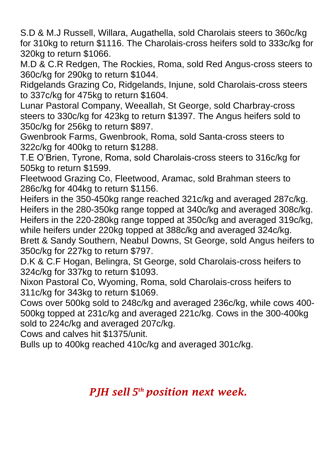S.D & M.J Russell, Willara, Augathella, sold Charolais steers to 360c/kg for 310kg to return \$1116. The Charolais-cross heifers sold to 333c/kg for 320kg to return \$1066.

M.D & C.R Redgen, The Rockies, Roma, sold Red Angus-cross steers to 360c/kg for 290kg to return \$1044.

Ridgelands Grazing Co, Ridgelands, Injune, sold Charolais-cross steers to 337c/kg for 475kg to return \$1604.

Lunar Pastoral Company, Weeallah, St George, sold Charbray-cross steers to 330c/kg for 423kg to return \$1397. The Angus heifers sold to 350c/kg for 256kg to return \$897.

Gwenbrook Farms, Gwenbrook, Roma, sold Santa-cross steers to 322c/kg for 400kg to return \$1288.

T.E O'Brien, Tyrone, Roma, sold Charolais-cross steers to 316c/kg for 505kg to return \$1599.

Fleetwood Grazing Co, Fleetwood, Aramac, sold Brahman steers to 286c/kg for 404kg to return \$1156.

Heifers in the 350-450kg range reached 321c/kg and averaged 287c/kg. Heifers in the 280-350kg range topped at 340c/kg and averaged 308c/kg. Heifers in the 220-280kg range topped at 350c/kg and averaged 319c/kg, while heifers under 220kg topped at 388c/kg and averaged 324c/kg.

Brett & Sandy Southern, Neabul Downs, St George, sold Angus heifers to 350c/kg for 227kg to return \$797.

D.K & C.F Hogan, Belingra, St George, sold Charolais-cross heifers to 324c/kg for 337kg to return \$1093.

Nixon Pastoral Co, Wyoming, Roma, sold Charolais-cross heifers to 311c/kg for 343kg to return \$1069.

Cows over 500kg sold to 248c/kg and averaged 236c/kg, while cows 400- 500kg topped at 231c/kg and averaged 221c/kg. Cows in the 300-400kg sold to 224c/kg and averaged 207c/kg.

Cows and calves hit \$1375/unit.

Bulls up to 400kg reached 410c/kg and averaged 301c/kg.

## *PJH sell 5 th position next week.*